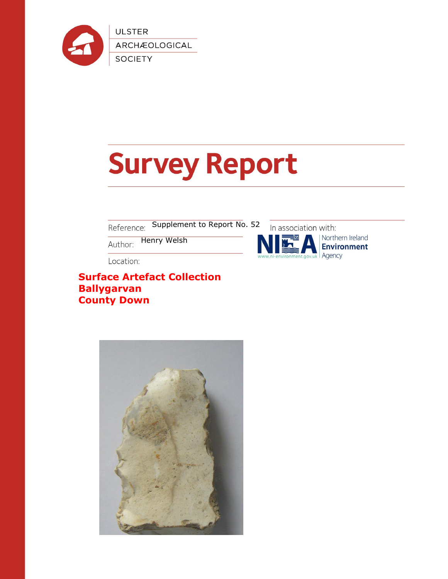

# **Survey Report**

Supplement to Report No. 52 Reference:

Henry WelshAuthor:

Location:

**Surface Artefact Collection Ballygarvan County Down**



Northern Ireland **Environment** Agency

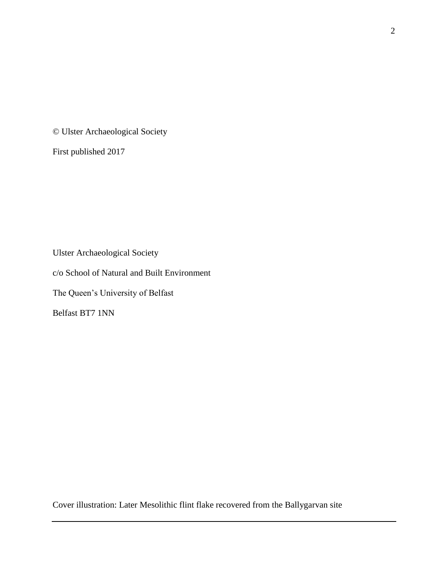© Ulster Archaeological Society

First published 2017

Ulster Archaeological Society c/o School of Natural and Built Environment The Queen's University of Belfast Belfast BT7 1NN

Cover illustration: Later Mesolithic flint flake recovered from the Ballygarvan site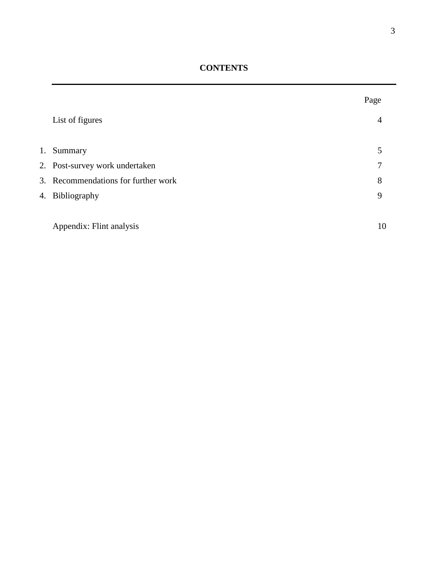**CONTENTS**

|                                     | Page |  |
|-------------------------------------|------|--|
| List of figures                     | 4    |  |
|                                     |      |  |
| 1. Summary                          | 5    |  |
| 2. Post-survey work undertaken      | 7    |  |
| 3. Recommendations for further work | 8    |  |
| 4. Bibliography                     | 9    |  |
|                                     |      |  |
| Appendix: Flint analysis            | 10   |  |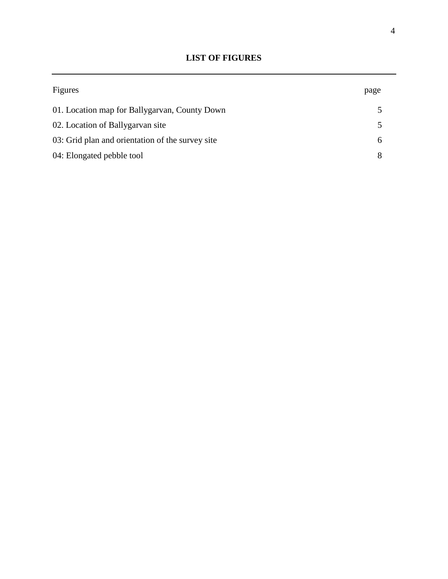# **LIST OF FIGURES**

| Figures                                          | page |
|--------------------------------------------------|------|
| 01. Location map for Ballygarvan, County Down    |      |
| 02. Location of Ballygarvan site                 |      |
| 03: Grid plan and orientation of the survey site |      |
| 04: Elongated pebble tool                        |      |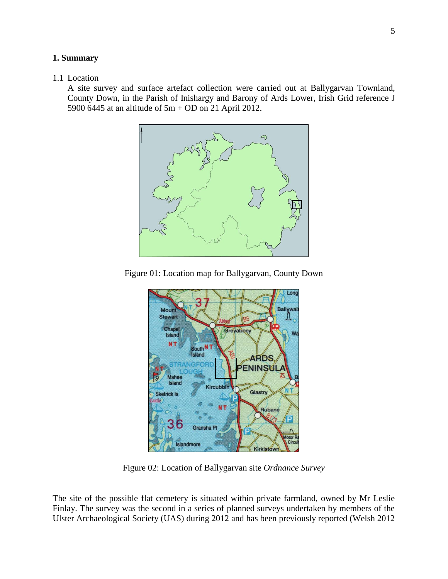#### **1. Summary**

# 1.1 Location

A site survey and surface artefact collection were carried out at Ballygarvan Townland, County Down, in the Parish of Inishargy and Barony of Ards Lower, Irish Grid reference J 5900 6445 at an altitude of 5m + OD on 21 April 2012.



Figure 01: Location map for Ballygarvan, County Down



Figure 02: Location of Ballygarvan site *Ordnance Survey*

The site of the possible flat cemetery is situated within private farmland, owned by Mr Leslie Finlay. The survey was the second in a series of planned surveys undertaken by members of the Ulster Archaeological Society (UAS) during 2012 and has been previously reported (Welsh 2012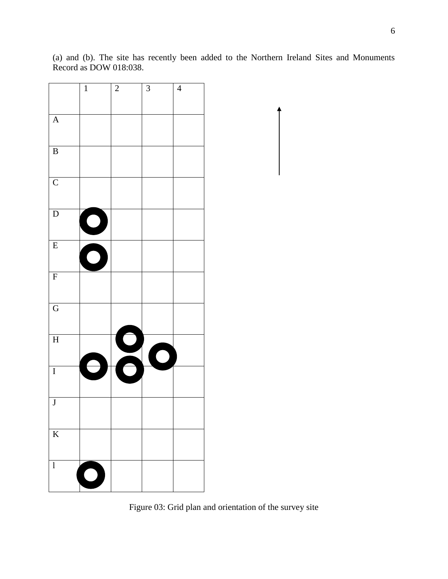(a) and (b). The site has recently been added to the Northern Ireland Sites and Monuments Record as DOW 018:038.

|                         | $\overline{1}$             | $\overline{2}$           | $\overline{\mathbf{3}}$ | $\overline{4}$ |
|-------------------------|----------------------------|--------------------------|-------------------------|----------------|
| $\overline{A}$          |                            |                          |                         |                |
| $\overline{B}$          |                            |                          |                         |                |
| $\overline{C}$          |                            |                          |                         |                |
| $\overline{D}$          | $\bigodot$                 |                          |                         |                |
| $\overline{E}$          | $\bigodot$                 |                          |                         |                |
| $\overline{F}$          |                            |                          |                         |                |
| $\overline{G}$          |                            |                          |                         |                |
| $\overline{H}$          |                            |                          | $\bigcap$               |                |
| $\overline{I}$          |                            | $\overline{\phantom{a}}$ |                         |                |
| $\overline{\mathbf{J}}$ |                            |                          |                         |                |
| $\overline{\mathbf{K}}$ |                            |                          |                         |                |
| $\mathbf{l}$            | $\mathcal{L}^{\text{max}}$ |                          |                         |                |

Figure 03: Grid plan and orientation of the survey site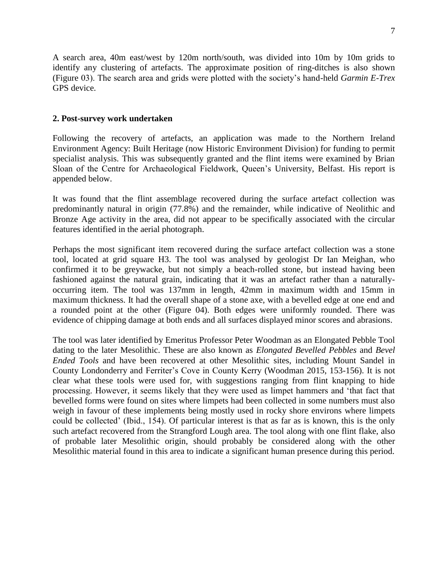A search area, 40m east/west by 120m north/south, was divided into 10m by 10m grids to identify any clustering of artefacts. The approximate position of ring-ditches is also shown (Figure 03). The search area and grids were plotted with the society's hand-held *Garmin E-Trex* GPS device.

# **2. Post-survey work undertaken**

Following the recovery of artefacts, an application was made to the Northern Ireland Environment Agency: Built Heritage (now Historic Environment Division) for funding to permit specialist analysis. This was subsequently granted and the flint items were examined by Brian Sloan of the Centre for Archaeological Fieldwork, Queen's University, Belfast. His report is appended below.

It was found that the flint assemblage recovered during the surface artefact collection was predominantly natural in origin (77.8%) and the remainder, while indicative of Neolithic and Bronze Age activity in the area, did not appear to be specifically associated with the circular features identified in the aerial photograph.

Perhaps the most significant item recovered during the surface artefact collection was a stone tool, located at grid square H3. The tool was analysed by geologist Dr Ian Meighan, who confirmed it to be greywacke, but not simply a beach-rolled stone, but instead having been fashioned against the natural grain, indicating that it was an artefact rather than a naturallyoccurring item. The tool was 137mm in length, 42mm in maximum width and 15mm in maximum thickness. It had the overall shape of a stone axe, with a bevelled edge at one end and a rounded point at the other (Figure 04). Both edges were uniformly rounded. There was evidence of chipping damage at both ends and all surfaces displayed minor scores and abrasions.

The tool was later identified by Emeritus Professor Peter Woodman as an Elongated Pebble Tool dating to the later Mesolithic. These are also known as *Elongated Bevelled Pebbles* and *Bevel Ended Tools* and have been recovered at other Mesolithic sites, including Mount Sandel in County Londonderry and Ferriter's Cove in County Kerry (Woodman 2015, 153-156). It is not clear what these tools were used for, with suggestions ranging from flint knapping to hide processing. However, it seems likely that they were used as limpet hammers and 'that fact that bevelled forms were found on sites where limpets had been collected in some numbers must also weigh in favour of these implements being mostly used in rocky shore environs where limpets could be collected' (Ibid., 154). Of particular interest is that as far as is known, this is the only such artefact recovered from the Strangford Lough area. The tool along with one flint flake, also of probable later Mesolithic origin, should probably be considered along with the other Mesolithic material found in this area to indicate a significant human presence during this period.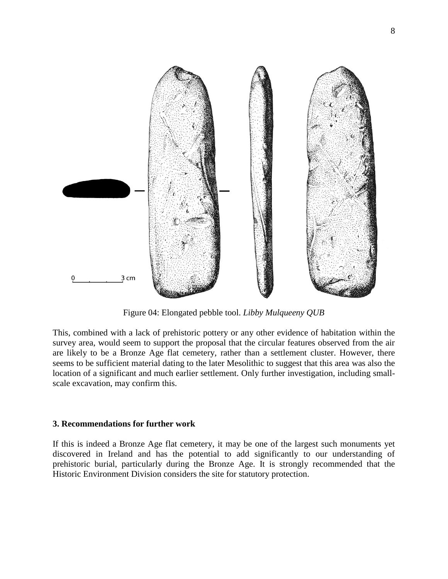

Figure 04: Elongated pebble tool. *Libby Mulqueeny QUB*

This, combined with a lack of prehistoric pottery or any other evidence of habitation within the survey area, would seem to support the proposal that the circular features observed from the air are likely to be a Bronze Age flat cemetery, rather than a settlement cluster. However, there seems to be sufficient material dating to the later Mesolithic to suggest that this area was also the location of a significant and much earlier settlement. Only further investigation, including smallscale excavation, may confirm this.

# **3. Recommendations for further work**

If this is indeed a Bronze Age flat cemetery, it may be one of the largest such monuments yet discovered in Ireland and has the potential to add significantly to our understanding of prehistoric burial, particularly during the Bronze Age. It is strongly recommended that the Historic Environment Division considers the site for statutory protection.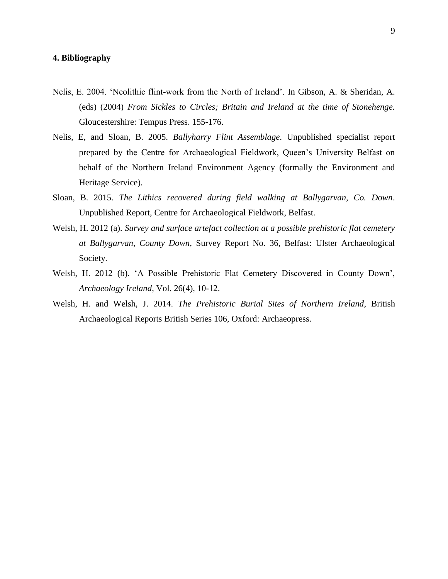## **4. Bibliography**

- Nelis, E. 2004. 'Neolithic flint-work from the North of Ireland'. In Gibson, A. & Sheridan, A. (eds) (2004) *From Sickles to Circles; Britain and Ireland at the time of Stonehenge.* Gloucestershire: Tempus Press. 155-176.
- Nelis, E, and Sloan, B. 2005. *Ballyharry Flint Assemblage*. Unpublished specialist report prepared by the Centre for Archaeological Fieldwork, Queen's University Belfast on behalf of the Northern Ireland Environment Agency (formally the Environment and Heritage Service).
- Sloan, B. 2015. *The Lithics recovered during field walking at Ballygarvan, Co. Down*. Unpublished Report, Centre for Archaeological Fieldwork, Belfast.
- Welsh, H. 2012 (a). *Survey and surface artefact collection at a possible prehistoric flat cemetery at Ballygarvan, County Down*, Survey Report No. 36, Belfast: Ulster Archaeological Society.
- Welsh, H. 2012 (b). 'A Possible Prehistoric Flat Cemetery Discovered in County Down', *Archaeology Ireland*, Vol. 26(4), 10-12.
- Welsh, H. and Welsh, J. 2014. *The Prehistoric Burial Sites of Northern Ireland*, British Archaeological Reports British Series 106, Oxford: Archaeopress.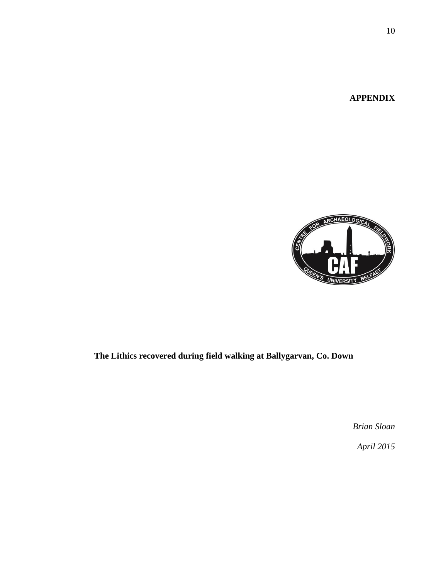**APPENDIX**



# **The Lithics recovered during field walking at Ballygarvan, Co. Down**

*Brian Sloan*

*April 2015*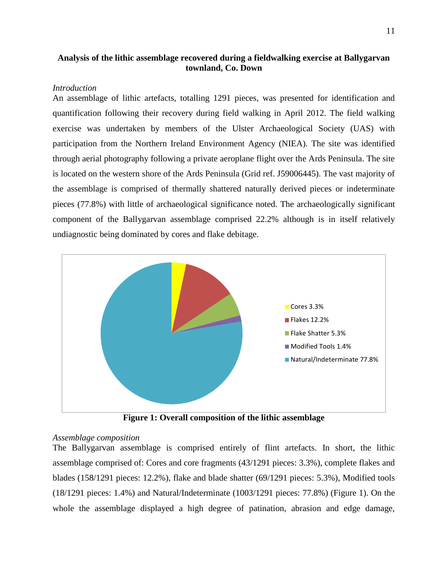# **Analysis of the lithic assemblage recovered during a fieldwalking exercise at Ballygarvan townland, Co. Down**

## *Introduction*

An assemblage of lithic artefacts, totalling 1291 pieces, was presented for identification and quantification following their recovery during field walking in April 2012. The field walking exercise was undertaken by members of the Ulster Archaeological Society (UAS) with participation from the Northern Ireland Environment Agency (NIEA). The site was identified through aerial photography following a private aeroplane flight over the Ards Peninsula. The site is located on the western shore of the Ards Peninsula (Grid ref. J59006445). The vast majority of the assemblage is comprised of thermally shattered naturally derived pieces or indeterminate pieces (77.8%) with little of archaeological significance noted. The archaeologically significant component of the Ballygarvan assemblage comprised 22.2% although is in itself relatively undiagnostic being dominated by cores and flake debitage.



**Figure 1: Overall composition of the lithic assemblage** 

#### *Assemblage composition*

The Ballygarvan assemblage is comprised entirely of flint artefacts. In short, the lithic assemblage comprised of: Cores and core fragments (43/1291 pieces: 3.3%), complete flakes and blades (158/1291 pieces: 12.2%), flake and blade shatter (69/1291 pieces: 5.3%), Modified tools (18/1291 pieces: 1.4%) and Natural/Indeterminate (1003/1291 pieces: 77.8%) (Figure 1). On the whole the assemblage displayed a high degree of patination, abrasion and edge damage,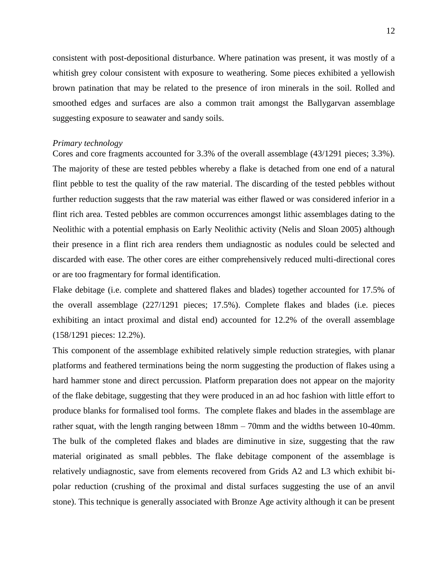consistent with post-depositional disturbance. Where patination was present, it was mostly of a whitish grey colour consistent with exposure to weathering. Some pieces exhibited a yellowish brown patination that may be related to the presence of iron minerals in the soil. Rolled and smoothed edges and surfaces are also a common trait amongst the Ballygarvan assemblage suggesting exposure to seawater and sandy soils.

#### *Primary technology*

Cores and core fragments accounted for 3.3% of the overall assemblage (43/1291 pieces; 3.3%). The majority of these are tested pebbles whereby a flake is detached from one end of a natural flint pebble to test the quality of the raw material. The discarding of the tested pebbles without further reduction suggests that the raw material was either flawed or was considered inferior in a flint rich area. Tested pebbles are common occurrences amongst lithic assemblages dating to the Neolithic with a potential emphasis on Early Neolithic activity (Nelis and Sloan 2005) although their presence in a flint rich area renders them undiagnostic as nodules could be selected and discarded with ease. The other cores are either comprehensively reduced multi-directional cores or are too fragmentary for formal identification.

Flake debitage (i.e. complete and shattered flakes and blades) together accounted for 17.5% of the overall assemblage (227/1291 pieces; 17.5%). Complete flakes and blades (i.e. pieces exhibiting an intact proximal and distal end) accounted for 12.2% of the overall assemblage (158/1291 pieces: 12.2%).

This component of the assemblage exhibited relatively simple reduction strategies, with planar platforms and feathered terminations being the norm suggesting the production of flakes using a hard hammer stone and direct percussion. Platform preparation does not appear on the majority of the flake debitage, suggesting that they were produced in an ad hoc fashion with little effort to produce blanks for formalised tool forms. The complete flakes and blades in the assemblage are rather squat, with the length ranging between 18mm – 70mm and the widths between 10-40mm. The bulk of the completed flakes and blades are diminutive in size, suggesting that the raw material originated as small pebbles. The flake debitage component of the assemblage is relatively undiagnostic, save from elements recovered from Grids A2 and L3 which exhibit bipolar reduction (crushing of the proximal and distal surfaces suggesting the use of an anvil stone). This technique is generally associated with Bronze Age activity although it can be present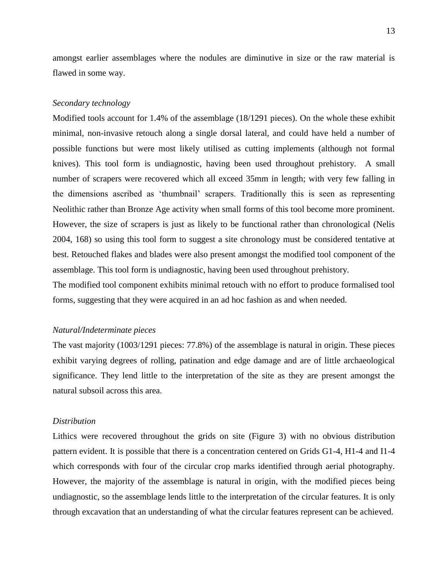amongst earlier assemblages where the nodules are diminutive in size or the raw material is flawed in some way.

#### *Secondary technology*

Modified tools account for 1.4% of the assemblage (18/1291 pieces). On the whole these exhibit minimal, non-invasive retouch along a single dorsal lateral, and could have held a number of possible functions but were most likely utilised as cutting implements (although not formal knives). This tool form is undiagnostic, having been used throughout prehistory. A small number of scrapers were recovered which all exceed 35mm in length; with very few falling in the dimensions ascribed as 'thumbnail' scrapers. Traditionally this is seen as representing Neolithic rather than Bronze Age activity when small forms of this tool become more prominent. However, the size of scrapers is just as likely to be functional rather than chronological (Nelis 2004, 168) so using this tool form to suggest a site chronology must be considered tentative at best. Retouched flakes and blades were also present amongst the modified tool component of the assemblage. This tool form is undiagnostic, having been used throughout prehistory.

The modified tool component exhibits minimal retouch with no effort to produce formalised tool forms, suggesting that they were acquired in an ad hoc fashion as and when needed.

#### *Natural/Indeterminate pieces*

The vast majority (1003/1291 pieces: 77.8%) of the assemblage is natural in origin. These pieces exhibit varying degrees of rolling, patination and edge damage and are of little archaeological significance. They lend little to the interpretation of the site as they are present amongst the natural subsoil across this area.

#### *Distribution*

Lithics were recovered throughout the grids on site (Figure 3) with no obvious distribution pattern evident. It is possible that there is a concentration centered on Grids G1-4, H1-4 and I1-4 which corresponds with four of the circular crop marks identified through aerial photography. However, the majority of the assemblage is natural in origin, with the modified pieces being undiagnostic, so the assemblage lends little to the interpretation of the circular features. It is only through excavation that an understanding of what the circular features represent can be achieved.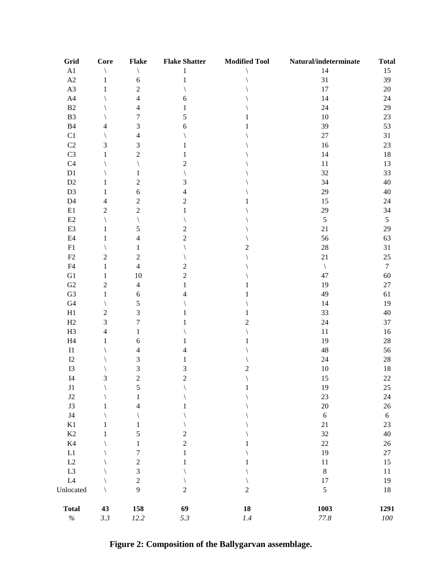| Grid                     | Core           | <b>Flake</b>     | <b>Flake Shatter</b>    | <b>Modified Tool</b> | Natural/indeterminate | <b>Total</b> |
|--------------------------|----------------|------------------|-------------------------|----------------------|-----------------------|--------------|
| $\rm A1$                 |                |                  | 1                       |                      | 14                    | 15           |
| $\rm A2$                 | 1              | 6                | 1                       |                      | 31                    | 39           |
| A3                       |                | $\boldsymbol{2}$ |                         |                      | 17                    | $20\,$       |
| ${\rm A}4$               |                | $\overline{4}$   | 6                       |                      | 14                    | 24           |
| B2                       |                | $\overline{4}$   | 1                       |                      | 24                    | 29           |
| B <sub>3</sub>           |                | $\boldsymbol{7}$ | 5                       |                      | 10                    | 23           |
| B4                       | 4              | 3                | 6                       |                      | 39                    | 53           |
| C1                       |                | $\overline{4}$   |                         |                      | $27\,$                | 31           |
| $\mathbf{C}2$            | 3              | 3                |                         |                      | 16                    | 23           |
| C <sub>3</sub>           | 1              | $\sqrt{2}$       |                         |                      | 14                    | 18           |
| C4                       |                |                  | $\overline{c}$          |                      | 11                    | 13           |
| D1                       |                | 1                |                         |                      | 32                    | 33           |
| $\mathbf{D}2$            | 1              | $\sqrt{2}$       | 3                       |                      | 34                    | 40           |
| D <sub>3</sub>           | 1              | 6                | 4                       |                      | 29                    | $40\,$       |
| D4                       | 4              | $\boldsymbol{2}$ | $\overline{c}$          |                      | 15                    | 24           |
| $\rm E1$                 | $\overline{c}$ | $\sqrt{2}$       | 1                       |                      | 29                    | 34           |
| E2                       |                |                  |                         |                      | $\mathfrak s$         | 5            |
| E3                       | 1              | 5                | 2                       |                      | 21                    | 29           |
| E4                       | 1              | 4                | $\overline{c}$          |                      | 56                    | 63           |
| F1                       |                | 1                |                         | 2                    | $28\,$                | 31           |
| F2                       | $\overline{c}$ | $\boldsymbol{2}$ |                         |                      | 21                    | 25           |
| F <sub>4</sub>           | $\mathbf{1}$   | $\overline{4}$   | $\overline{c}$          |                      |                       | $\tau$       |
| ${\rm G1}$               | 1              | 10               | $\overline{c}$          |                      | $\setminus$<br>47     | 60           |
| ${\bf G2}$               | $\overline{c}$ | $\overline{4}$   | 1                       |                      | 19                    | $27\,$       |
| G <sub>3</sub>           |                |                  | 4                       |                      | 49                    |              |
|                          | 1              | $\boldsymbol{6}$ |                         |                      |                       | 61           |
| G4                       |                | $\sqrt{5}$       |                         |                      | 14                    | 19           |
| H1                       | $\overline{c}$ | 3                |                         |                      | 33                    | $40\,$       |
| H2                       | 3              | $\tau$           |                         | 2                    | 24                    | 37           |
| H <sub>3</sub>           | 4              | 1                |                         |                      | $11\,$                | 16           |
| $\rm H4$                 |                | 6                |                         |                      | 19                    | $28\,$       |
| $\rm I1$                 |                | 4                | 4                       |                      | 48                    | 56           |
| I2                       |                | 3                | 1                       |                      | 24                    | $28\,$       |
| I3                       |                | $\mathfrak{Z}$   | 3                       | 2                    | 10                    | 18           |
| I4                       | 3              | $\sqrt{2}$       | $\overline{c}$          |                      | 15                    | $22\,$       |
| J1                       |                | 5                |                         |                      | 19                    | $25\,$       |
| $\rm J2$                 |                | 1                |                         |                      | 23                    | $24\,$       |
| $\mathbf{J}3$            | 1              | 4                |                         |                      | 20                    | $26\,$       |
| $\ensuremath{\text{J4}}$ |                |                  |                         |                      | $\sqrt{6}$            | $\sqrt{6}$   |
| K1                       | 1              | 1                |                         |                      | $21\,$                | 23           |
| $\rm K2$                 |                | 5                | $\overline{\mathbf{c}}$ |                      | 32                    | $40\,$       |
| $\rm K4$                 |                | 1                | $\overline{c}$          |                      | $22\,$                | $26\,$       |
| $\mathop{\rm L{1}}$      |                | $\tau$           | 1                       |                      | 19                    | $27\,$       |
| $\rm L2$                 |                | $\overline{c}$   | 1                       |                      | 11                    | 15           |
| L <sub>3</sub>           |                | $\mathfrak{Z}$   |                         |                      | $\,8\,$               | 11           |
| L4                       |                | $\sqrt{2}$       |                         |                      | 17                    | 19           |
| Unlocated                |                | 9                | $\overline{c}$          | $\overline{c}$       | $\sqrt{5}$            | 18           |
| <b>Total</b>             | 43             | 158              | 69                      | 18                   | 1003                  | 1291         |
| $\%$                     | 3.3            | 12.2             | 5.3                     | 1.4                  | 77.8                  | ${\it 100}$  |

**Figure 2: Composition of the Ballygarvan assemblage.**